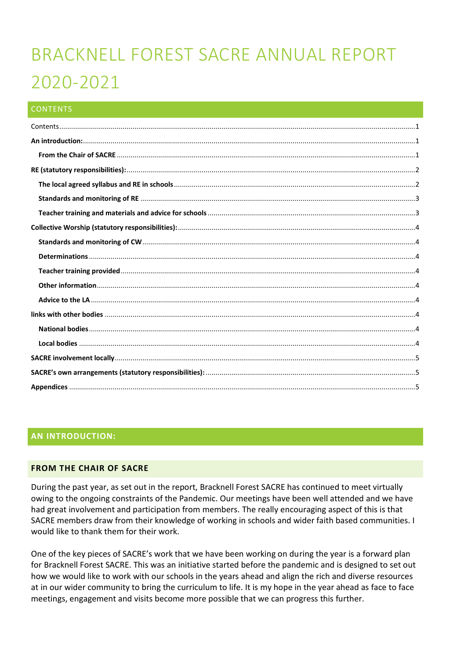# BRACKNELL FOREST SACRE ANNUAL REPORT 2020-2021

### <span id="page-0-0"></span>**CONTENTS**

# <span id="page-0-1"></span>**AN INTRODUCTION:**

#### <span id="page-0-2"></span>**FROM THE CHAIR OF SACRE**

During the past year, as set out in the report, Bracknell Forest SACRE has continued to meet virtually owing to the ongoing constraints of the Pandemic. Our meetings have been well attended and we have had great involvement and participation from members. The really encouraging aspect of this is that SACRE members draw from their knowledge of working in schools and wider faith based communities. I would like to thank them for their work.

One of the key pieces of SACRE's work that we have been working on during the year is a forward plan for Bracknell Forest SACRE. This was an initiative started before the pandemic and is designed to set out how we would like to work with our schools in the years ahead and align the rich and diverse resources at in our wider community to bring the curriculum to life. It is my hope in the year ahead as face to face meetings, engagement and visits become more possible that we can progress this further.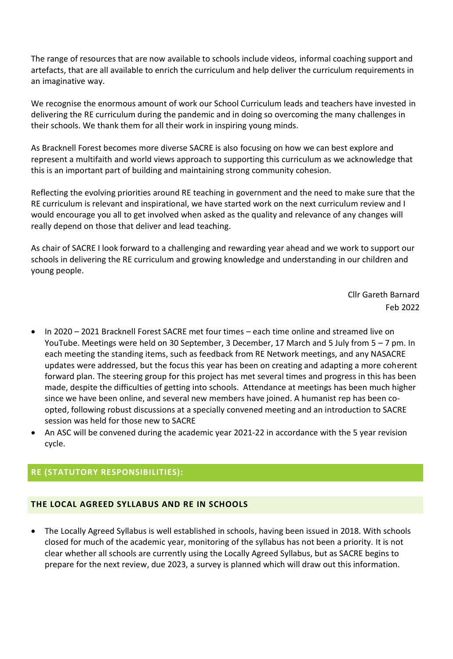The range of resources that are now available to schools include videos, informal coaching support and artefacts, that are all available to enrich the curriculum and help deliver the curriculum requirements in an imaginative way.

We recognise the enormous amount of work our School Curriculum leads and teachers have invested in delivering the RE curriculum during the pandemic and in doing so overcoming the many challenges in their schools. We thank them for all their work in inspiring young minds.

As Bracknell Forest becomes more diverse SACRE is also focusing on how we can best explore and represent a multifaith and world views approach to supporting this curriculum as we acknowledge that this is an important part of building and maintaining strong community cohesion.

Reflecting the evolving priorities around RE teaching in government and the need to make sure that the RE curriculum is relevant and inspirational, we have started work on the next curriculum review and I would encourage you all to get involved when asked as the quality and relevance of any changes will really depend on those that deliver and lead teaching.

As chair of SACRE I look forward to a challenging and rewarding year ahead and we work to support our schools in delivering the RE curriculum and growing knowledge and understanding in our children and young people.

> Cllr Gareth Barnard Feb 2022

- In 2020 2021 Bracknell Forest SACRE met four times each time online and streamed live on YouTube. Meetings were held on 30 September, 3 December, 17 March and 5 July from 5 – 7 pm. In each meeting the standing items, such as feedback from RE Network meetings, and any NASACRE updates were addressed, but the focus this year has been on creating and adapting a more coherent forward plan. The steering group for this project has met several times and progress in this has been made, despite the difficulties of getting into schools. Attendance at meetings has been much higher since we have been online, and several new members have joined. A humanist rep has been coopted, following robust discussions at a specially convened meeting and an introduction to SACRE session was held for those new to SACRE
- An ASC will be convened during the academic year 2021-22 in accordance with the 5 year revision cycle.

# <span id="page-1-0"></span>**RE (STATUTORY RESPONSIBILITIES):**

#### <span id="page-1-1"></span>**THE LOCAL AGREED SYLLABUS AND RE IN SCHOOLS**

• The Locally Agreed Syllabus is well established in schools, having been issued in 2018. With schools closed for much of the academic year, monitoring of the syllabus has not been a priority. It is not clear whether all schools are currently using the Locally Agreed Syllabus, but as SACRE begins to prepare for the next review, due 2023, a survey is planned which will draw out this information.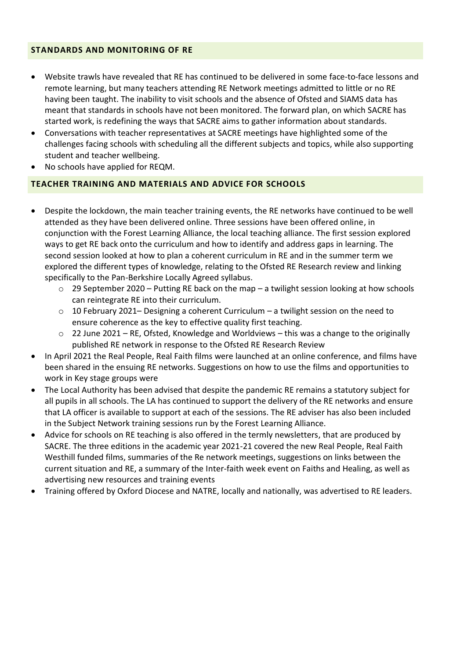## <span id="page-2-0"></span>**STANDARDS AND MONITORING OF RE**

- Website trawls have revealed that RE has continued to be delivered in some face-to-face lessons and remote learning, but many teachers attending RE Network meetings admitted to little or no RE having been taught. The inability to visit schools and the absence of Ofsted and SIAMS data has meant that standards in schools have not been monitored. The forward plan, on which SACRE has started work, is redefining the ways that SACRE aims to gather information about standards.
- Conversations with teacher representatives at SACRE meetings have highlighted some of the challenges facing schools with scheduling all the different subjects and topics, while also supporting student and teacher wellbeing.
- No schools have applied for REQM.

## <span id="page-2-1"></span>**TEACHER TRAINING AND MATERIALS AND ADVICE FOR SCHOOLS**

- Despite the lockdown, the main teacher training events, the RE networks have continued to be well attended as they have been delivered online. Three sessions have been offered online, in conjunction with the Forest Learning Alliance, the local teaching alliance. The first session explored ways to get RE back onto the curriculum and how to identify and address gaps in learning. The second session looked at how to plan a coherent curriculum in RE and in the summer term we explored the different types of knowledge, relating to the Ofsted RE Research review and linking specifically to the Pan-Berkshire Locally Agreed syllabus.
	- o 29 September 2020 Putting RE back on the map a twilight session looking at how schools can reintegrate RE into their curriculum.
	- $\circ$  10 February 2021– Designing a coherent Curriculum a twilight session on the need to ensure coherence as the key to effective quality first teaching.
	- o 22 June 2021 RE, Ofsted, Knowledge and Worldviews this was a change to the originally published RE network in response to the Ofsted RE Research Review
- In April 2021 the Real People, Real Faith films were launched at an online conference, and films have been shared in the ensuing RE networks. Suggestions on how to use the films and opportunities to work in Key stage groups were
- The Local Authority has been advised that despite the pandemic RE remains a statutory subject for all pupils in all schools. The LA has continued to support the delivery of the RE networks and ensure that LA officer is available to support at each of the sessions. The RE adviser has also been included in the Subject Network training sessions run by the Forest Learning Alliance.
- Advice for schools on RE teaching is also offered in the termly newsletters, that are produced by SACRE. The three editions in the academic year 2021-21 covered the new Real People, Real Faith Westhill funded films, summaries of the Re network meetings, suggestions on links between the current situation and RE, a summary of the Inter-faith week event on Faiths and Healing, as well as advertising new resources and training events
- Training offered by Oxford Diocese and NATRE, locally and nationally, was advertised to RE leaders.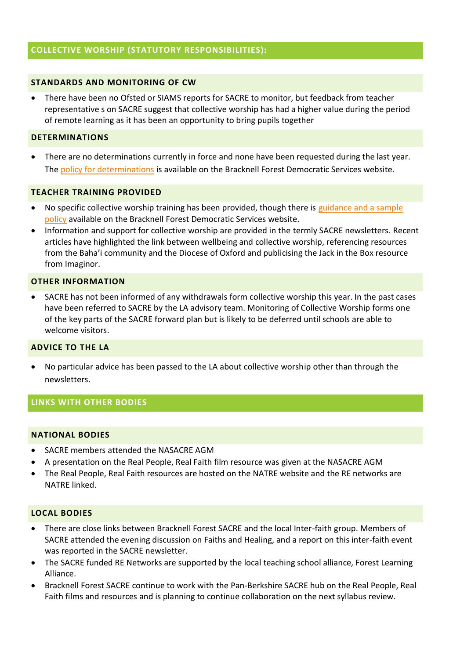## <span id="page-3-0"></span>**COLLECTIVE WORSHIP (STATUTORY RESPONSIBILITIES):**

#### <span id="page-3-1"></span>**STANDARDS AND MONITORING OF CW**

• There have been no Ofsted or SIAMS reports for SACRE to monitor, but feedback from teacher representative s on SACRE suggest that collective worship has had a higher value during the period of remote learning as it has been an opportunity to bring pupils together

#### <span id="page-3-2"></span>**DETERMINATIONS**

• There are no determinations currently in force and none have been requested during the last year. The [policy for determinations](https://schools.bracknell-forest.gov.uk/wp-content/uploads/determination-policy.pdf) is available on the Bracknell Forest Democratic Services website.

#### <span id="page-3-3"></span>**TEACHER TRAINING PROVIDED**

- No specific collective worship training has been provided, though there is guidance and a sample [policy](https://schools.bracknell-forest.gov.uk/wp-content/uploads/collective-worship-guidance-and-sample-policy.pdf) available on the Bracknell Forest Democratic Services website.
- Information and support for collective worship are provided in the termly SACRE newsletters. Recent articles have highlighted the link between wellbeing and collective worship, referencing resources from the Baha'i community and the Diocese of Oxford and publicising the Jack in the Box resource from Imaginor.

#### <span id="page-3-4"></span>**OTHER INFORMATION**

• SACRE has not been informed of any withdrawals form collective worship this year. In the past cases have been referred to SACRE by the LA advisory team. Monitoring of Collective Worship forms one of the key parts of the SACRE forward plan but is likely to be deferred until schools are able to welcome visitors.

#### <span id="page-3-5"></span>**ADVICE TO THE LA**

• No particular advice has been passed to the LA about collective worship other than through the newsletters.

#### <span id="page-3-6"></span>**LINKS WITH OTHER BODIES**

#### <span id="page-3-7"></span>**NATIONAL BODIES**

- SACRE members attended the NASACRE AGM
- A presentation on the Real People, Real Faith film resource was given at the NASACRE AGM
- The Real People, Real Faith resources are hosted on the NATRE website and the RE networks are NATRE linked.

#### <span id="page-3-8"></span>**LOCAL BODIES**

- There are close links between Bracknell Forest SACRE and the local Inter-faith group. Members of SACRE attended the evening discussion on Faiths and Healing, and a report on this inter-faith event was reported in the SACRE newsletter.
- The SACRE funded RE Networks are supported by the local teaching school alliance, Forest Learning Alliance.
- Bracknell Forest SACRE continue to work with the Pan-Berkshire SACRE hub on the Real People, Real Faith films and resources and is planning to continue collaboration on the next syllabus review.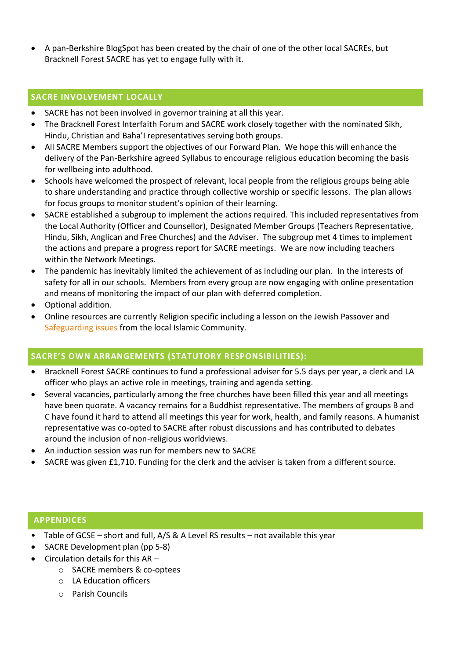• A pan-Berkshire BlogSpot has been created by the chair of one of the other local SACREs, but Bracknell Forest SACRE has yet to engage fully with it.

# <span id="page-4-0"></span>**SACRE INVOLVEMENT LOCALLY**

- SACRE has not been involved in governor training at all this year.
- The Bracknell Forest Interfaith Forum and SACRE work closely together with the nominated Sikh, Hindu, Christian and Baha'I representatives serving both groups.
- All SACRE Members support the objectives of our Forward Plan. We hope this will enhance the delivery of the Pan-Berkshire agreed Syllabus to encourage religious education becoming the basis for wellbeing into adulthood.
- Schools have welcomed the prospect of relevant, local people from the religious groups being able to share understanding and practice through collective worship or specific lessons. The plan allows for focus groups to monitor student's opinion of their learning.
- SACRE established a subgroup to implement the actions required. This included representatives from the Local Authority (Officer and Counsellor), Designated Member Groups (Teachers Representative, Hindu, Sikh, Anglican and Free Churches) and the Adviser. The subgroup met 4 times to implement the actions and prepare a progress report for SACRE meetings. We are now including teachers within the Network Meetings.
- The pandemic has inevitably limited the achievement of as including our plan. In the interests of safety for all in our schools. Members from every group are now engaging with online presentation and means of monitoring the impact of our plan with deferred completion.
- Optional addition.
- Online resources are currently Religion specific including a lesson on the Jewish Passover and [Safeguarding issues](https://bracknellforestsafeguarding.org.uk/p/news-and-events/understanding-safeguarding-1) from the local Islamic Community.

# <span id="page-4-1"></span>**SACRE'S OWN ARRANGEMENTS (STATUTORY RESPONSIBILITIES):**

- Bracknell Forest SACRE continues to fund a professional adviser for 5.5 days per year, a clerk and LA officer who plays an active role in meetings, training and agenda setting.
- Several vacancies, particularly among the free churches have been filled this year and all meetings have been quorate. A vacancy remains for a Buddhist representative. The members of groups B and C have found it hard to attend all meetings this year for work, health, and family reasons. A humanist representative was co-opted to SACRE after robust discussions and has contributed to debates around the inclusion of non-religious worldviews.
- An induction session was run for members new to SACRE
- SACRE was given £1,710. Funding for the clerk and the adviser is taken from a different source.

#### <span id="page-4-2"></span>**APPENDICES**

- Table of GCSE short and full, A/S & A Level RS results not available this year
- SACRE Development plan (pp 5-8)
- Circulation details for this AR
	- o SACRE members & co-optees
	- o LA Education officers
	- o Parish Councils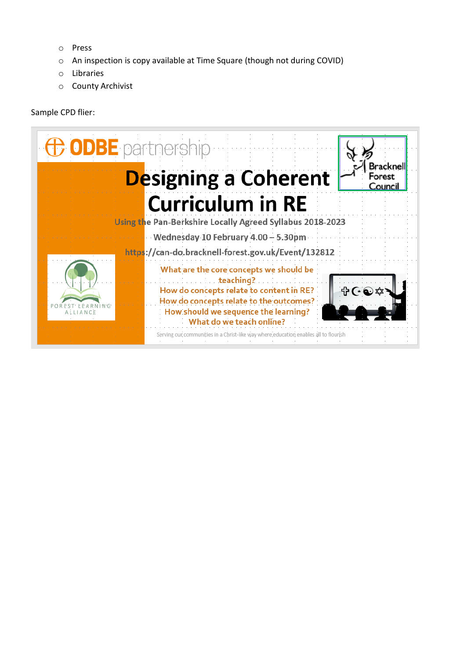- o Press
- o An inspection is copy available at Time Square (though not during COVID)
- o Libraries
- o County Archivist

#### Sample CPD flier:

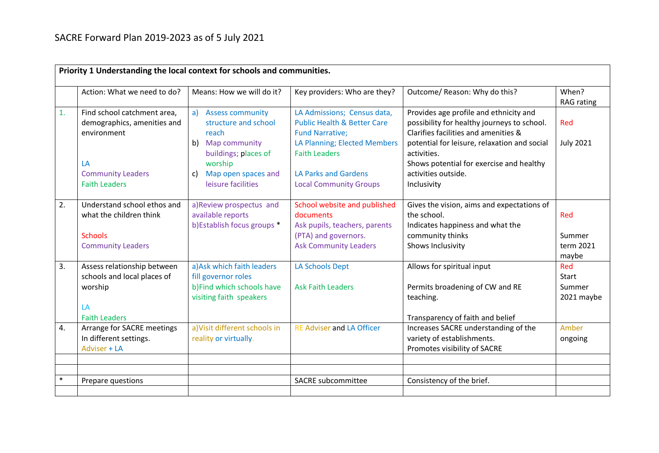|        | Priority 1 Understanding the local context for schools and communities.   |                                                                             |                                                                                                 |                                                                                                                               |                              |  |
|--------|---------------------------------------------------------------------------|-----------------------------------------------------------------------------|-------------------------------------------------------------------------------------------------|-------------------------------------------------------------------------------------------------------------------------------|------------------------------|--|
|        | Action: What we need to do?                                               | Means: How we will do it?                                                   | Key providers: Who are they?                                                                    | Outcome/ Reason: Why do this?                                                                                                 | When?<br><b>RAG</b> rating   |  |
| 1.     | Find school catchment area,<br>demographics, amenities and<br>environment | <b>Assess community</b><br>a)<br>structure and school<br>reach              | LA Admissions; Census data,<br><b>Public Health &amp; Better Care</b><br><b>Fund Narrative;</b> | Provides age profile and ethnicity and<br>possibility for healthy journeys to school.<br>Clarifies facilities and amenities & | Red                          |  |
|        | LA                                                                        | b) Map community<br>buildings; places of<br>worship                         | LA Planning; Elected Members<br><b>Faith Leaders</b>                                            | potential for leisure, relaxation and social<br>activities.<br>Shows potential for exercise and healthy                       | <b>July 2021</b>             |  |
|        | <b>Community Leaders</b><br><b>Faith Leaders</b>                          | Map open spaces and<br>c)<br>leisure facilities                             | <b>LA Parks and Gardens</b><br><b>Local Community Groups</b>                                    | activities outside.<br>Inclusivity                                                                                            |                              |  |
| 2.     | Understand school ethos and<br>what the children think                    | a)Review prospectus and<br>available reports<br>b) Establish focus groups * | School website and published<br>documents<br>Ask pupils, teachers, parents                      | Gives the vision, aims and expectations of<br>the school.<br>Indicates happiness and what the                                 | Red                          |  |
|        | <b>Schools</b><br><b>Community Leaders</b>                                |                                                                             | (PTA) and governors.<br><b>Ask Community Leaders</b>                                            | community thinks<br>Shows Inclusivity                                                                                         | Summer<br>term 2021<br>maybe |  |
| 3.     | Assess relationship between<br>schools and local places of                | a) Ask which faith leaders<br>fill governor roles                           | <b>LA Schools Dept</b>                                                                          | Allows for spiritual input                                                                                                    | Red<br><b>Start</b>          |  |
|        | worship<br>LA                                                             | b)Find which schools have<br>visiting faith speakers                        | <b>Ask Faith Leaders</b>                                                                        | Permits broadening of CW and RE<br>teaching.                                                                                  | Summer<br>2021 maybe         |  |
|        | <b>Faith Leaders</b>                                                      |                                                                             |                                                                                                 | Transparency of faith and belief                                                                                              |                              |  |
| 4.     | Arrange for SACRE meetings<br>In different settings.<br>Adviser + LA      | a) Visit different schools in<br>reality or virtually.                      | <b>RE Adviser and LA Officer</b>                                                                | Increases SACRE understanding of the<br>variety of establishments.<br>Promotes visibility of SACRE                            | Amber<br>ongoing             |  |
|        |                                                                           |                                                                             |                                                                                                 |                                                                                                                               |                              |  |
| $\ast$ | Prepare questions                                                         |                                                                             | <b>SACRE</b> subcommittee                                                                       | Consistency of the brief.                                                                                                     |                              |  |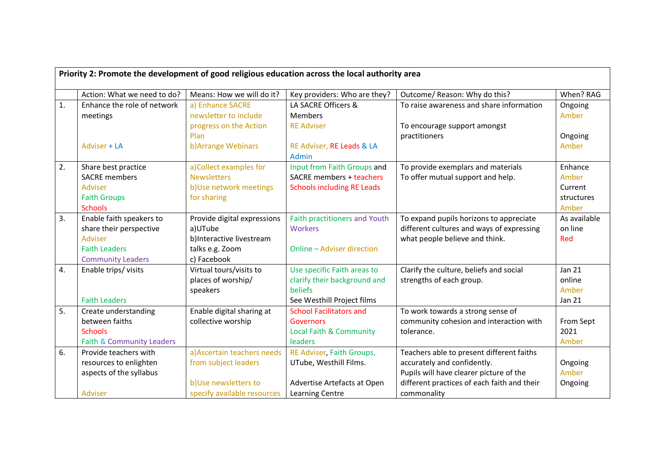| Priority 2: Promote the development of good religious education across the local authority area |                             |                             |                                      |                                             |               |
|-------------------------------------------------------------------------------------------------|-----------------------------|-----------------------------|--------------------------------------|---------------------------------------------|---------------|
|                                                                                                 |                             |                             |                                      |                                             |               |
|                                                                                                 | Action: What we need to do? | Means: How we will do it?   | Key providers: Who are they?         | Outcome/ Reason: Why do this?               | When? RAG     |
| 1.                                                                                              | Enhance the role of network | a) Enhance SACRE            | LA SACRE Officers &                  | To raise awareness and share information    | Ongoing       |
|                                                                                                 | meetings                    | newsletter to include       | <b>Members</b>                       |                                             | Amber         |
|                                                                                                 |                             | progress on the Action      | <b>RE Adviser</b>                    | To encourage support amongst                |               |
|                                                                                                 |                             | Plan                        |                                      | practitioners                               | Ongoing       |
|                                                                                                 | Adviser + LA                | b) Arrange Webinars         | RE Adviser, RE Leads & LA            |                                             | Amber         |
|                                                                                                 |                             |                             | Admin                                |                                             |               |
| 2.                                                                                              | Share best practice         | a)Collect examples for      | Input from Faith Groups and          | To provide exemplars and materials          | Enhance       |
|                                                                                                 | <b>SACRE</b> members        | <b>Newsletters</b>          | SACRE members + teachers             | To offer mutual support and help.           | Amber         |
|                                                                                                 | Adviser                     | b)Use network meetings      | <b>Schools including RE Leads</b>    |                                             | Current       |
|                                                                                                 | <b>Faith Groups</b>         | for sharing                 |                                      |                                             | structures    |
|                                                                                                 | <b>Schools</b>              |                             |                                      |                                             | Amber         |
| 3.                                                                                              | Enable faith speakers to    | Provide digital expressions | <b>Faith practitioners and Youth</b> | To expand pupils horizons to appreciate     | As available  |
|                                                                                                 | share their perspective     | a)UTube                     | <b>Workers</b>                       | different cultures and ways of expressing   | on line       |
|                                                                                                 | Adviser                     | b)Interactive livestream    |                                      | what people believe and think.              | Red           |
|                                                                                                 | <b>Faith Leaders</b>        | talks e.g. Zoom             | Online - Adviser direction           |                                             |               |
|                                                                                                 | <b>Community Leaders</b>    | c) Facebook                 |                                      |                                             |               |
| 4.                                                                                              | Enable trips/visits         | Virtual tours/visits to     | Use specific Faith areas to          | Clarify the culture, beliefs and social     | <b>Jan 21</b> |
|                                                                                                 |                             | places of worship/          | clarify their background and         | strengths of each group.                    | online        |
|                                                                                                 |                             | speakers                    | beliefs                              |                                             | Amber         |
|                                                                                                 | <b>Faith Leaders</b>        |                             | See Westhill Project films           |                                             | <b>Jan 21</b> |
| 5.                                                                                              | Create understanding        | Enable digital sharing at   | <b>School Facilitators and</b>       | To work towards a strong sense of           |               |
|                                                                                                 | between faiths              | collective worship          | Governors                            | community cohesion and interaction with     | From Sept     |
|                                                                                                 | <b>Schools</b>              |                             | Local Faith & Community              | tolerance.                                  | 2021          |
|                                                                                                 | Faith & Community Leaders   |                             | leaders                              |                                             | Amber         |
| 6.                                                                                              | Provide teachers with       | a) Ascertain teachers needs | RE Adviser, Faith Groups,            | Teachers able to present different faiths   |               |
|                                                                                                 | resources to enlighten      | from subject leaders        | UTube, Westhill Films.               | accurately and confidently.                 | Ongoing       |
|                                                                                                 | aspects of the syllabus     |                             |                                      | Pupils will have clearer picture of the     | Amber         |
|                                                                                                 |                             | b)Use newsletters to        | Advertise Artefacts at Open          | different practices of each faith and their | Ongoing       |
|                                                                                                 | Adviser                     | specify available resources | Learning Centre                      | commonality                                 |               |